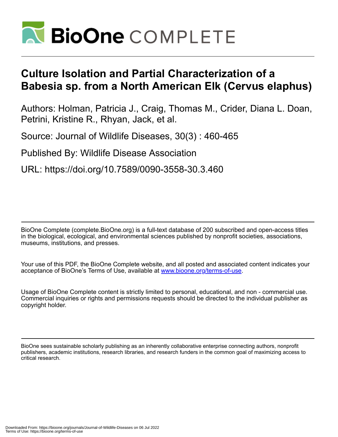

## **Culture Isolation and Partial Characterization of a Babesia sp. from a North American Elk (Cervus elaphus)**

Authors: Holman, Patricia J., Craig, Thomas M., Crider, Diana L. Doan, Petrini, Kristine R., Rhyan, Jack, et al.

Source: Journal of Wildlife Diseases, 30(3) : 460-465

Published By: Wildlife Disease Association

URL: https://doi.org/10.7589/0090-3558-30.3.460

BioOne Complete (complete.BioOne.org) is a full-text database of 200 subscribed and open-access titles in the biological, ecological, and environmental sciences published by nonprofit societies, associations, museums, institutions, and presses.

Your use of this PDF, the BioOne Complete website, and all posted and associated content indicates your acceptance of BioOne's Terms of Use, available at www.bioone.org/terms-of-use.

Usage of BioOne Complete content is strictly limited to personal, educational, and non - commercial use. Commercial inquiries or rights and permissions requests should be directed to the individual publisher as copyright holder.

BioOne sees sustainable scholarly publishing as an inherently collaborative enterprise connecting authors, nonprofit publishers, academic institutions, research libraries, and research funders in the common goal of maximizing access to critical research.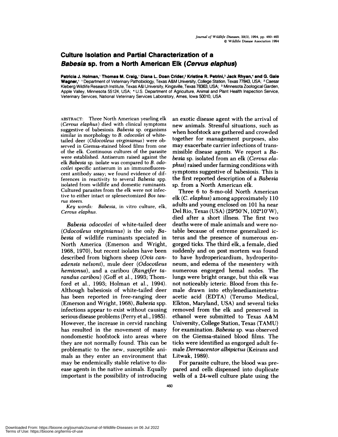## **Culture Isolation and Partial Characterization of a Babesia sp. from a North American Elk** (Cervus **elaphus)**

Patricia J. Holman,' Thomas M. Craig,' Diana L. Doan Crider,<sup>2</sup> Kristine R. Petrini,<sup>3</sup> Jack Rhyan,<sup>4</sup> and G. Gale Wagner,' ' Department of Veterinary Pathobiology, Texas A&M University, College Station, Texas 77843, USA; <sup>2</sup> Caesar Kleberg Wildlife Research Institute, Texas A&l University, Kingsville, Texas 78363, USA; <sup>3</sup> Minnesota Zoological Garden, Apple Valley, Minnesota 55124, USA; <sup>4</sup> U.S. Department of Agriculture, Animal and Plant Health Inspection Service, Veterinary Services, National Veterinary Services Laboratory, Ames, Iowa 50010, USA

**ABSTRACT:** Three North American yearling elk *(Cervus elaphus)* died with clinical symptoms suggestive of babesiosis. *Babesia* sp. organisms similar in morphology to *B. odocoilei* of whitetailed deer *(Odocoileus virginianus )* were oh**served** in Giemsa-stained blood films from one of the elk. Continuous cultures of the parasite were established. Antiserum raised against the elk *Babesia* sp. isolate was compared to *B. odocoilei* specific antiserum in an immunofluores cent antibody assay; we found evidence of dif**ferences** in reactivity to several *Babesia* spp. isolated from wildlife and domestic ruminants. Cultured parasites from the elk were not infec**tive** to either intact or splenectomized *Bos tau rus* steers.

*Key words: Babesia,* in vitro culture, elk, *Cervus elaphus.*

*Babesia odocoilei* of white-tailed deer *(Odocoileus virginianus)* is the only *Babesia* of wildlife ruminants speciated in North America (Emerson and Wright, 1968, 1970), but recent isolates have been described from bighorn sheep *(Ovis can adensis nelsoni),* mule deer (Odocoileus *hemionus),* and a caribou *(Rangifer ta randus caribou)* (Goff et al., 1993; Thomford et al., 1993; Holman et al., 1994). Although babesiosis of white-tailed deer has been reported in free-ranging deer (Emerson and Wright, 1968), *Babesia* spp. infections appear to exist without causing serious disease problems (Perry et al., 1985). However, the increase in cervid ranching has resulted in the movement of many nondomestic hoofstock into areas where they are not normally found. This can be problematic to the new, susceptible animals as they enter an environment that may be endemically stable relative to dis ease agents in the native animals. Equally important is the possibility of introducing an exotic disease agent with the arrival of new animals. Stressful situations, such as when hoofstock are gathered and crowded together for management purposes, also may exacerbate carrier infections of transmissible disease agents. We report a *Babesia* sp. isolated from an elk *(Cervus elaphus)* raised under farming conditions with symptoms suggestive of babesiosis. This is the first reported description of a *Babesia* sp. from a North American elk.

Three 6 to 8-mo-old North American elk *(C. elaphus)* among approximately 110 adults and young enclosed on 101 ha near Del Rio, Texas (USA) (29°50'N,  $102^{\circ}10'W$ ), died after a short illness. The first two deaths were of male animals and were notable because of extreme generalized icterus and the presence of numerous en gorged ticks. The third elk, a female, died suddenly and on post mortem was found to have hydropenicandium, hydropenitoneum, and edema of the mesentery with numerous engorged hemal nodes. The lungs were bright orange, but this elk was not noticeably icteric. Blood from this female drawn into ethylenediaminetetraacetic acid (EDTA) (Terumo Medical, Elkton, Maryland, USA) and several ticks removed from the elk and preserved in ethanol were submitted to Texas A&M University, College Station, Texas (TAMU) for examination. *Babesia* sp. was observed on the Giemsa-stained blood films. The ticks were identified as engorged adult female *Dermacentor albipictus* (Keinans and Litwak, 1989).

For parasite culture, the blood was prepared and cells dispensed into duplicate wells of a 24-well culture plate using the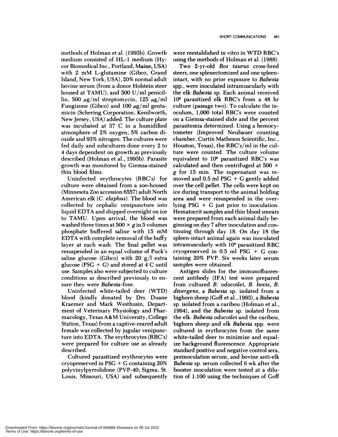methods of Holman et al. (1993b). Growth medium consisted of HL-1 medium (Hy con Biomedical Inc. , Portland, Maine, USA) with 2 mM L-glutamine (Gibco, Grand Island, New York, USA), 20% normal adult bovine serum (from a donor Holstein steer housed at TAMU), and 500 U/ml penicillin, 500  $\mu$ g/ml streptomycin, 125  $\mu$ g/ml Fungizone (Gibco) and 100  $\mu$ g/ml gentamicin (Schering Corporation, Kenilworth, New Jersey, USA) added. The culture plate was incubated at 37 C in a humidified atmosphere of 2% oxygen, 5% carbon dioxide and 93% nitrogen. The cultures were fed daily and subcultures done every 2 to *4* days dependent on growth as previously described (Holman et al., 1993b). Parasite growth was monitored by Giemsa-stained thin blood films.

Uninfected erythrocytes (RBC's) for culture were obtained from a zoo-housed (Minnesota Zoo accession 6557) adult North American elk *(C. elaphus).* The blood was collected by cephalic venipuncture into liquid EDTA and shipped overnight on ice to TAMU. Upon arrival, the blood was washed three times at  $500 \times g$  in 5 volumes phosphate buffered saline with 15 mM EDTA with complete removal of the buff y layer at each wash. The final pellet was resuspended in an equal volume of Puck's saline glucose (Gibco) with 20  $g/l$  extra glucose (PSG *+* G) and stored at 4 C until use. Samples also were subjected to culture conditions as described previously to en sure they were Babesia-free.

Uninfected white-tailed deer (WTD) blood (kindly donated by Drs. Duane Kraemen and Mark Westhusin, Department of Veterinary Physiology and Pharmacology, Texas A&M University, College Station, Texas) from a captive-reared adult female was collected by jugular venipuncture into EDTA. The erythrocytes (RBC's) were prepared for culture use as already described.

Cultured parasitized erythrocytes were cryopreserved in PSG *+* G containing 20% polyvinylpynnolidone (PVP-40; Sigma, St. Louis, Missouri, USA) and subsequently were reestablished in vitro in WTD RBC's using the methods of Holman et a!. (1988).

Two 2-yr-old *Bos taurus* cross-bred steers, one splenectomized and one spleenintact, with no prior exposure to *Babesia* spp., were inoculated intramuscularly with the elk *Babesia* sp. Each animal received 108 parasitized elk RBC's from a 48 hr culture (passage two). To calculate the inoculum, 1,000 total RBC's were counted on a Giemsa-stained slide and the percent parasitemia determined. Using a hemocytometen (Improved Neubauer counting chamber, Curtin Matheson Scientific, Inc., Houston, Texas), the RBC's/ml in the culture were counted. The culture volume equivalent to  $10<sup>s</sup>$  parasitized RBC's was calculated and then centrifuged at 500 *x* g for 15 min. The supernatant was removed and 0.5 ml PSG *+* G gently added over the cell pellet. The cells were kept on ice during transport to the animal holding area and were resuspended in the ovenlying PSG *+* G just prior to inoculation. Hematocnit samples and thin blood smears were prepared from each animal daily beginning on day 7 after inoculation and continuing through day 18. On day 18 the spleen-intact animal again was inoculated intramuscularly with  $10<sup>s</sup>$  parasitized RBC cryopresenved in 0.5 ml PSG *+* G containing 20% PVP. Six weeks later serum samples were obtained.

Antigen slides for the immunofluorescent antibody (IFA) test were prepared from cultured *B. odocoilei, B. bovis, B.* divergens, a *Babesia* sp. isolated from a bighorn sheep (Goff et a!., 1993), a *Babesia* sp. isolated from a caribou (Holman et a!., 1994), and the *Babesia* sp. isolated from the elk. *Babesia* odocoilei and the caribou, bighorn sheep and elk *Babesia* spp. were cultured in erythnocytes from the same white-tailed deer to minimize and equalize background fluorescence. Appropriate standard positive and negative control sera, preinoculation serum, and bovine anti-elk *Babesia* sp. serum collected 6 wk after the booster inoculation were tested at a dilution of 1:100 using the techniques of Goff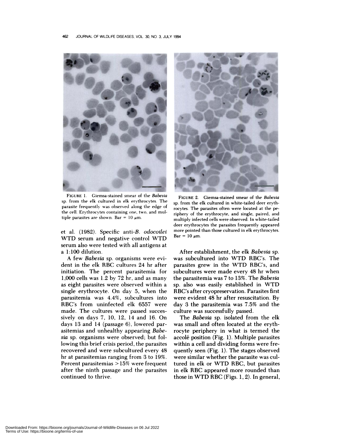

**FIGURE** 1. Giemsa-stained smear of the *Babesia* sp. from the elk cultured in elk erythrocytes. The parasite frequently was observed along the edge of the cell. Erythrocytes containing one, two, and multiple parasites are shown. Bar =  $10 \mu m$ .

et a!. (1982). Specific anti-B. *odocoilei* WTD serum and negative control WTD serum also were tested with all antigens at a 1:100 dilution.

A few *Babesia* sp. organisms were evident in the elk RBC cultures 24 hr after initiation. The percent parasitemia for 1,000 cells was 1.2 by 72 hr, and as many as eight parasites were observed within a single erythrocyte. On day 5, when the panasitemia was 4.4%, subcultures into RBC's from uninfected elk 6557 were made. The cultures were passed succes sively on days 7, 10, 12, 14 and 16. On days 13 and 14 (passage 6), lowered parasitemias and unhealthy appearing *Babeski* sp. organisms were observed; but following this brief crisis period, the parasites recovered and were subcultured every 48 hr at parasitemias ranging from 3to 19%. Percent parasitemias <sup>&</sup>gt; 15% were frequent after the ninth passage and the parasites continued to thrive.



**FIGURE** 2. Giemsa-stained smear of the *Babesia* sp, from the elk cultured in white-tailed deer erythrocytes. The parasites often were located at the periphery of the erythrocyte, and single, paired, and multiply infected cells were observed. In white-tailed deer erythrocytes the parasites frequently appeared more pointed than those cultured in elk erythrocytes.  $Bar = 10 \mu m$ .

After establishment, the elk *Babesia* sp. was subcultured into WTD RBC's. The parasites grew in the WTD RBC's, and subcultures were made every 48 hr when the parasitemia was 7 to 13%. The Babesia sp. also was easily established in WTD RBC's after cryopreservation. Parasites first were evident 48 hr after resuscitation. By day 3 the panasitemia was 7.5% and the culture was successfully passed.

The *Babesia* sp. isolated from the elk was small and often located at the erythnocyte periphery in what is termed the accolé position (Fig. 1). Multiple parasites within a cell and dividing forms were frequently seen (Fig. 1). The stages observed were similar whether the parasite was cultured in elk on WTD RBC, but parasites in elk RBC appeared more rounded than those in WTD RBC (Figs. 1,2). In general,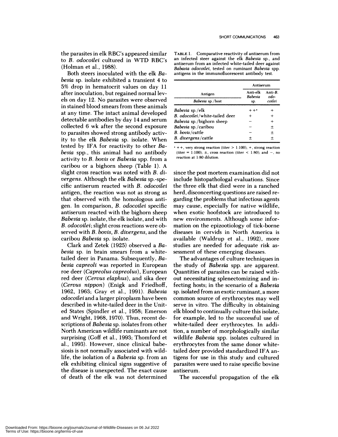the parasites in elk RBC's appeared similar to *B. odocoilei* cultured in WTD RBC's (Holman et al., 1988).

Both steers inoculated with the elk *Babesia* sp.isolate exhibited a transient 4 to 5% drop in hematocrit values on day 11 after inoculation, but regained normal 1evels on day 12. No parasites were observed in stained blood smears from these animals at any time. The intact animal developed detectable antibodies by day 14 and serum collected 6 wk after the second exposure to parasites showed strong antibody activity to the elk *Babesia* sp. isolate. When tested by IFA for reactivity to other *Babesia* spp. , this animal had no antibody activity to *B. bovis* or *Babesia* spp. from a caribou or a bighorn sheep (Table 1). A slight cross reaction was noted with *B. divergens.* Although the elk *Babesia* sp.-specific antiserum reacted with *B. odocoilei* antigen, the reaction was not as strong as that observed with the homologous antigen. In comparison, *B. odocoilei* specific antiserum reacted with the bighorn sheep *Babesia* sp. isolate, the elk isolate, and with *B. odocoilei;* slight cross reactions were observed with *B. bovis, B. divergens,* and the caribou *Babesia* sp. isolate.

Clark and Zetek (1925) observed a *Babesia* sp. in brain smears from a whitetailed deer in Panama. Subsequently, *Babesia capreoli* was reported in European roe deer *(Capreolus capreolus)* , European red deer *(Cervus elaphus),* and sika deer *(Cervus nippon)* (Enigk and Friedhoff, 1962, 1963; Gray et a!., 1991). *Babesia odocoilei* and a larger piroplasm have been described in white-tailed deer in the United States (Spindler et al., 1958; Emerson and Wright, 1968, 1970). Thus, recent descriptions of *Babesia* sp. isolates from other North American wildlife ruminants are not surprising (Goff et a!., 1993; Thomfond et a!., 1993). However, since clinical babesiosis is not normally associated with wildlife, the isolation of a *Babesia* sp. from an elk exhibiting clinical signs suggestive of the disease is unexpected. The exact cause of death of the elk was not determined

TABLE 1. Comparative reactivity of antiserum from an infected steer against the elk *Babesia* sp., and antiserum from an infected white-tailed deer against *Babasia odocoilei,* tested on ruminant *Babesia* spp. antigens in the immunofluorescent antibody test.

| Antigen<br>Babesia sp./host    | Antiserum                         |                           |
|--------------------------------|-----------------------------------|---------------------------|
|                                | Anti-elk<br><b>Babesia</b><br>sp. | Anti-B.<br>odo-<br>coilei |
|                                |                                   |                           |
| B. odocoilei/white-tailed deer |                                   |                           |
| Babesia sp./bighorn sheep      |                                   | ┿                         |
| Babesia sp./caribou            |                                   | 土                         |
| B. bovis/cattle                |                                   | 士                         |
| B. divergens/cattle            |                                   | $\,{}^+$                  |

 $+ +$ , very strong reaction (titer  $> 1:100$ );  $+$ , strong reaction (titer 1:100); **±,** cross reaction (titer <sup>&</sup>lt; **1:80);** and **-,**no reaction at 1:80 dilution.

since the post mortem examination did not include histopathologal evaluations. Since the three elk that died were in a ranched herd, disconcerting questions are raised re ganding the problems that infectious agents may cause, especially for native wildlife, when exotic hoofstock are introduced to new environments. Although some information on the epizootiology of tick-borne diseases in cervids in North America is available (Waldrup et al., 1992), more studies are needed for adequate risk as sessment of these emerging diseases.

The advantages of culture techniques in the study of *Babesia* spp. are apparent. **Q** uantities of parasites can be raised without necessitating splenectomizing and infecting hosts; in the scenario of a *Babesia* sp. isolated from an exotic ruminant, a more common source of erythrocytes may well serve in vitro. The difficulty in obtaining elk blood to continually culture this isolate, for example, led to the successful use of white-tailed deer enythrocytes. In addition, a number of morphologically similar wildlife *Babesia* spp. isolates cultured in erythrocytes from the same donor whitetailed deer provided standardized IFA antigens for use in this study and cultured parasites were used to raise specific bovine antiserum.

The successful propagation of the elk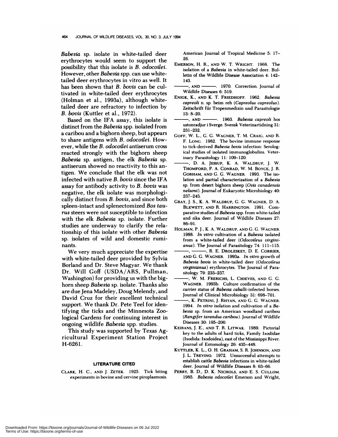*Babesia* sp. isolate in white-tailed deer erythrocytes would seem to support the possibility that this isolate is *B. odocoilei.* However, other *Babesia* spp. can use whitetailed deer erythrocytes in vitro as well. It has been shown that *B. bovis* can be cultivated in white-tailed deer erythrocytes (Holman et al., 1993a), although whitetailed deer are refractory to infection by *B. bovis* (Kuttler et a!., 1972).

Based on the IFA assay, this isolate is distinct from the*Babesia* spp. isolated from a caribou and a bighorn sheep, but appears to share antigens with *B. odocoilei.* However, while the *B. odocoilei* antiserum cross reacted strongly with the bighorn sheep *Babesia* sp. antigen, the elk *Babesia* sp. antiserum showed no reactivity to this antigen. We conclude that the elk was not infected with native *B. bovis* since the IFA assay for antibody activity to *B. bovis* was negative, the elk isolate was morphologically distinct from *B. bovis,* and since both spleen-intact and splenectomized *Bos tau rus* steers were not susceptible to infection with the elk *Babesia* sp. isolate. Further studies are underway to clarify the relationship of this isolate with other *Babesia* sp. isolates of wild and domestic ruminants.

We very much appreciate the expertise with white-tailed deer provided by Sylvia Borland and Dr. Steve Magyan. We thank Dr. Will Goff (USDA/ARS, Pullman, Washington) for providing us with the bighorn sheep *Babesia* sp. isolate. Thanks also are due Jena Madeley, Doug Melendy, and David Cruz for their excellent technical support. We thank Dr. Pete Teel for identifying the ticks and the Minnesota Zoological Gardens for continuing interest in ongoing wildlife *Babesia* spp. studies.

This study was supported by Texas Agricultural Experiment Station Project H-6261.

## **LITERATURE CITED**

**CLARK, H.** C., **AND** J. **ZETEK.** 1925. Tick biting **experiments in bovine and cervine piroplasmosis.**

**American Journal of Tropical** Medicine 5: 17- 26.

- **EMERSON, H. R., AND W. T. WRIGHT.** 1968. The isolation of a *Babesia* in white-tailed deer. Bulletin of the Wildlife Disease Association 4: 142- 143.
- **, AND .** 1970. Correction. Journal of Wildlife Diseases 6: 519.
- **ENICK, K. , AND K. T. FRIEDHOFF.** 1962. *Babesia capreoli* **n. sp. beim** reh *(Capreolus capreolus).* Zeitschrift für Tropenmedizin und Parasitologie 13: 8-20.
- **, AND .** 1963. *Babesia capreoli* hos ustonradjur i Sverge. Svensk Veterinartidning 31: 231-232.
- **GOFF, W. L. , G. C. WAGNER, T. M. CRAIG, AND R. F. LONG.** 1982. The bovine immune response **to** tick-derived *Babesia bovis* infection: Serological studies of isolated immunoglobulins. Veter inary Parasitology 11: 109-120.
- **, D. A.** JESSUP, **K. A. WALDRUP,** J. **W. THOMFORD, P. A. CONRAD, W. M. BOYCE,** J. **R. GORHAM, AND** *G.* **C. WAGNER.** 1993. The iso**lation** and partial characterization of a *Babesia* sp. from desert bighorn sheep *(Ovis canadensis nelsoni).* Journal of Eukaryotic Microbiology 40: 237-243.
- **GRAY,** J. S., K. A. **WALDRUP,** *C.* **C. WAGNER, D. A.** BLEWETT, AND **R. HARRINGTON.** 1991. Com **parative studies of** *Babesia* spp. from white-tailed and sika deer. Journal of Wildlife Diseases 27: 86-91.
- **HOLMAN, P.** J. **, K. A. WALDRUP, AND C. C. WAGNER.** 1988. *In vitro* cultivation of a *Babesia* isolated **from a** white-tailed deer *(Odocoileus virginianus).* The Journal of Parasitology 74: 111-115.
- **, , R. E. DROLESKEY, D. E. CORRIER, AND** *G. C.* **WAGNER.** 1993a. *In vitro* **growth of** *Babesia bovis* in white-tailed deer *(Odocoileus virginianus)* erythrocytes. The Journal of Para **sitology** 79: 233-237.
- **, W. M. FRERICHS, L.** CHIEVES, AND **C. C. WAGNER.** 1993b. Culture confirmation of the carrier status of Babesia caballi-infected horses. Journal of Clinical Microbiology 31: 698-701.
- **K. PETRINI,** J. **RHYAN, AND C. C. WAGNER.** 1994. *ln vitro* **isolation and cultivation of a** *Babesia* sp. from an American woodland caribou *(Rangifer tarandus caribou).* Journal of Wildlife Diseases 30: 195-200.
- **KEIRANS,** J. **E., AND T.** R. **LITWAK.** 1989. Pictorial **key to** the adults of hard ticks, Family Ixodidae (Ixodida: Ixodoidea), east of the Mississippi River. Journal of Entomology 26: **435-448.**
- KUTTLER, **K. L., 0. H. GRAHAM,** S. R. JOHNSON, AND J. L. TREvIN0. 1972. Unsuccessful attempts to establish cattle Babesia infections in white-tailed deer. Journal of Wildlife Diseases 8: 63-66.
- **PERRY, B. D., D. K.** NICHOLS, AND E. S. **CULLOM.** 1985. *Babesia odocoilei* Emerson and Wright,